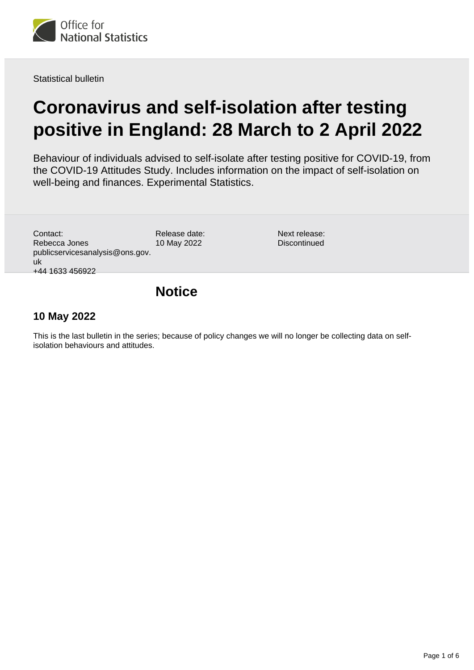

Statistical bulletin

# **Coronavirus and self-isolation after testing positive in England: 28 March to 2 April 2022**

Behaviour of individuals advised to self-isolate after testing positive for COVID-19, from the COVID-19 Attitudes Study. Includes information on the impact of self-isolation on well-being and finances. Experimental Statistics.

Contact: Rebecca Jones publicservicesanalysis@ons.gov. uk +44 1633 456922

Release date: 10 May 2022

Next release: **Discontinued** 

### **Notice**

### **10 May 2022**

This is the last bulletin in the series; because of policy changes we will no longer be collecting data on selfisolation behaviours and attitudes.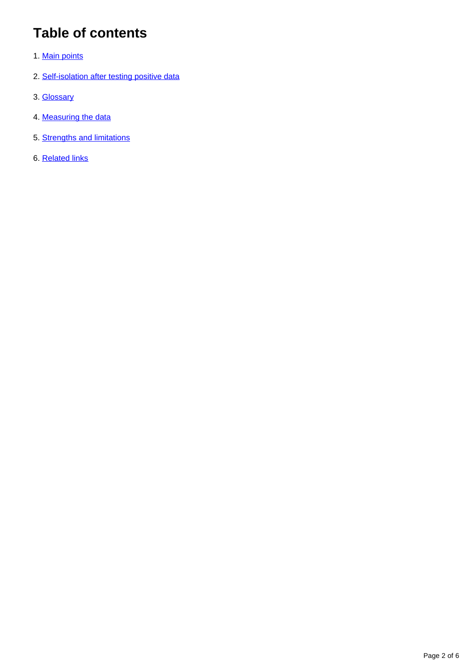## **Table of contents**

- 1. [Main points](#page-2-0)
- 2. [Self-isolation after testing positive data](#page-2-1)
- 3. [Glossary](#page-3-0)
- 4. [Measuring the data](#page-4-0)
- 5. [Strengths and limitations](#page-5-0)
- 6. [Related links](#page-5-1)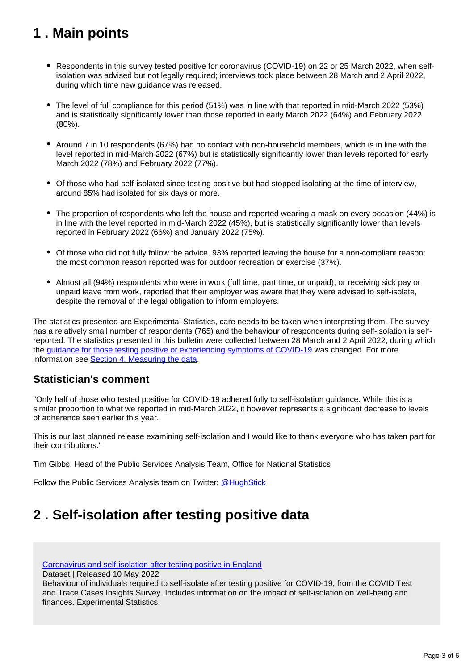## <span id="page-2-0"></span>**1 . Main points**

- Respondents in this survey tested positive for coronavirus (COVID-19) on 22 or 25 March 2022, when selfisolation was advised but not legally required; interviews took place between 28 March and 2 April 2022, during which time new guidance was released.
- The level of full compliance for this period (51%) was in line with that reported in mid-March 2022 (53%) and is statistically significantly lower than those reported in early March 2022 (64%) and February 2022 (80%).
- Around 7 in 10 respondents (67%) had no contact with non-household members, which is in line with the level reported in mid-March 2022 (67%) but is statistically significantly lower than levels reported for early March 2022 (78%) and February 2022 (77%).
- Of those who had self-isolated since testing positive but had stopped isolating at the time of interview, around 85% had isolated for six days or more.
- The proportion of respondents who left the house and reported wearing a mask on every occasion (44%) is in line with the level reported in mid-March 2022 (45%), but is statistically significantly lower than levels reported in February 2022 (66%) and January 2022 (75%).
- Of those who did not fully follow the advice, 93% reported leaving the house for a non-compliant reason; the most common reason reported was for outdoor recreation or exercise (37%).
- Almost all (94%) respondents who were in work (full time, part time, or unpaid), or receiving sick pay or unpaid leave from work, reported that their employer was aware that they were advised to self-isolate, despite the removal of the legal obligation to inform employers.

The statistics presented are Experimental Statistics, care needs to be taken when interpreting them. The survey has a relatively small number of respondents (765) and the behaviour of respondents during self-isolation is selfreported. The statistics presented in this bulletin were collected between 28 March and 2 April 2022, during which the [guidance for those testing positive or experiencing symptoms of COVID-19](https://www.gov.uk/guidance/people-with-symptoms-of-a-respiratory-infection-including-covid-19) was changed. For more information see **[Section 4. Measuring the data](https://www.ons.gov.uk/peoplepopulationandcommunity/healthandsocialcare/healthandwellbeing/bulletins/coronavirusandselfisolationaftertestingpositiveinengland/28marchto4april2022#measuring-the-data).** 

#### **Statistician's comment**

"Only half of those who tested positive for COVID-19 adhered fully to self-isolation guidance. While this is a similar proportion to what we reported in mid-March 2022, it however represents a significant decrease to levels of adherence seen earlier this year.

This is our last planned release examining self-isolation and I would like to thank everyone who has taken part for their contributions."

Tim Gibbs, Head of the Public Services Analysis Team, Office for National Statistics

Follow the Public Services Analysis team on Twitter: [@HughStick](https://twitter.com/HughStick)

### <span id="page-2-1"></span>**2 . Self-isolation after testing positive data**

[Coronavirus and self-isolation after testing positive in England](https://www.ons.gov.uk/peoplepopulationandcommunity/healthandsocialcare/healthandwellbeing/datasets/coronavirusandselfisolationaftertestingpositiveinengland)

Dataset | Released 10 May 2022

Behaviour of individuals required to self-isolate after testing positive for COVID-19, from the COVID Test and Trace Cases Insights Survey. Includes information on the impact of self-isolation on well-being and finances. Experimental Statistics.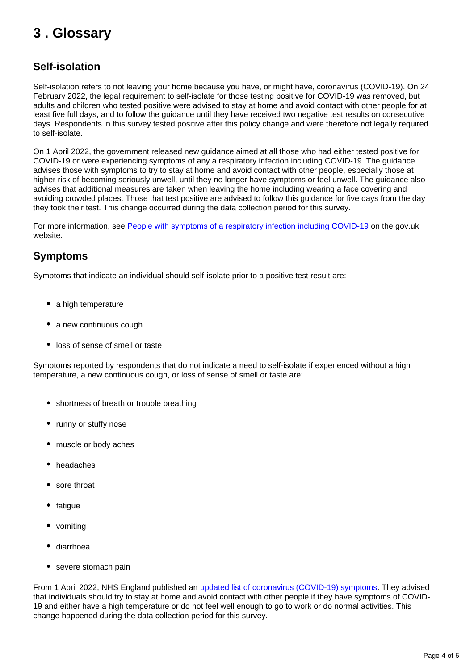### <span id="page-3-0"></span>**3 . Glossary**

### **Self-isolation**

Self-isolation refers to not leaving your home because you have, or might have, coronavirus (COVID-19). On 24 February 2022, the legal requirement to self-isolate for those testing positive for COVID-19 was removed, but adults and children who tested positive were advised to stay at home and avoid contact with other people for at least five full days, and to follow the guidance until they have received two negative test results on consecutive days. Respondents in this survey tested positive after this policy change and were therefore not legally required to self-isolate.

On 1 April 2022, the government released new guidance aimed at all those who had either tested positive for COVID-19 or were experiencing symptoms of any a respiratory infection including COVID-19. The guidance advises those with symptoms to try to stay at home and avoid contact with other people, especially those at higher risk of becoming seriously unwell, until they no longer have symptoms or feel unwell. The guidance also advises that additional measures are taken when leaving the home including wearing a face covering and avoiding crowded places. Those that test positive are advised to follow this guidance for five days from the day they took their test. This change occurred during the data collection period for this survey.

For more information, see [People with symptoms of a respiratory infection including COVID-19](https://www.gov.uk/guidance/people-with-symptoms-of-a-respiratory-infection-including-covid-19) on the gov.uk website.

#### **Symptoms**

Symptoms that indicate an individual should self-isolate prior to a positive test result are:

- a high temperature
- a new continuous cough
- loss of sense of smell or taste

Symptoms reported by respondents that do not indicate a need to self-isolate if experienced without a high temperature, a new continuous cough, or loss of sense of smell or taste are:

- shortness of breath or trouble breathing
- runny or stuffy nose
- muscle or body aches
- headaches
- sore throat
- fatigue
- vomiting
- diarrhoea
- severe stomach pain

From 1 April 2022, NHS England published an [updated list of coronavirus \(COVID-19\) symptoms](https://www.nhs.uk/conditions/coronavirus-covid-19/symptoms/main-symptoms/). They advised that individuals should try to stay at home and avoid contact with other people if they have symptoms of COVID-19 and either have a high temperature or do not feel well enough to go to work or do normal activities. This change happened during the data collection period for this survey.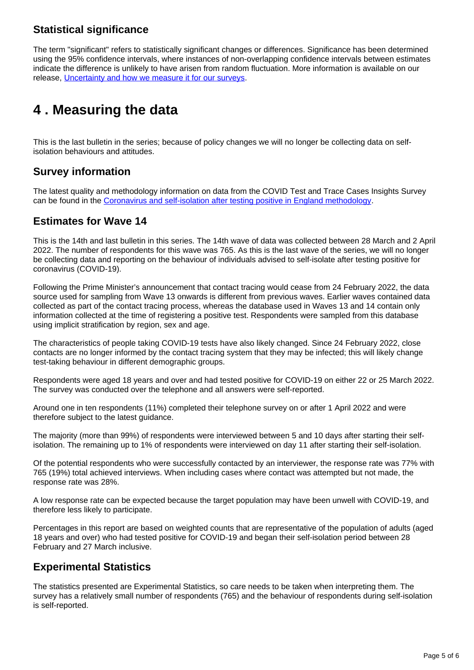### **Statistical significance**

The term "significant" refers to statistically significant changes or differences. Significance has been determined using the 95% confidence intervals, where instances of non-overlapping confidence intervals between estimates indicate the difference is unlikely to have arisen from random fluctuation. More information is available on our release, [Uncertainty and how we measure it for our surveys.](https://www.ons.gov.uk/methodology/methodologytopicsandstatisticalconcepts/uncertaintyandhowwemeasureit)

## <span id="page-4-0"></span>**4 . Measuring the data**

This is the last bulletin in the series; because of policy changes we will no longer be collecting data on selfisolation behaviours and attitudes.

#### **Survey information**

The latest quality and methodology information on data from the COVID Test and Trace Cases Insights Survey can be found in the [Coronavirus and self-isolation after testing positive in England methodology.](https://www.ons.gov.uk/peoplepopulationandcommunity/healthandsocialcare/healthandwellbeing/methodologies/coronavirusandselfisolationaftertestingpositiveinenglandmethodology)

#### **Estimates for Wave 14**

This is the 14th and last bulletin in this series. The 14th wave of data was collected between 28 March and 2 April 2022. The number of respondents for this wave was 765. As this is the last wave of the series, we will no longer be collecting data and reporting on the behaviour of individuals advised to self-isolate after testing positive for coronavirus (COVID-19).

Following the Prime Minister's announcement that contact tracing would cease from 24 February 2022, the data source used for sampling from Wave 13 onwards is different from previous waves. Earlier waves contained data collected as part of the contact tracing process, whereas the database used in Waves 13 and 14 contain only information collected at the time of registering a positive test. Respondents were sampled from this database using implicit stratification by region, sex and age.

The characteristics of people taking COVID-19 tests have also likely changed. Since 24 February 2022, close contacts are no longer informed by the contact tracing system that they may be infected; this will likely change test-taking behaviour in different demographic groups.

Respondents were aged 18 years and over and had tested positive for COVID-19 on either 22 or 25 March 2022. The survey was conducted over the telephone and all answers were self-reported.

Around one in ten respondents (11%) completed their telephone survey on or after 1 April 2022 and were therefore subject to the latest guidance.

The majority (more than 99%) of respondents were interviewed between 5 and 10 days after starting their selfisolation. The remaining up to 1% of respondents were interviewed on day 11 after starting their self-isolation.

Of the potential respondents who were successfully contacted by an interviewer, the response rate was 77% with 765 (19%) total achieved interviews. When including cases where contact was attempted but not made, the response rate was 28%.

A low response rate can be expected because the target population may have been unwell with COVID-19, and therefore less likely to participate.

Percentages in this report are based on weighted counts that are representative of the population of adults (aged 18 years and over) who had tested positive for COVID-19 and began their self-isolation period between 28 February and 27 March inclusive.

### **Experimental Statistics**

The statistics presented are Experimental Statistics, so care needs to be taken when interpreting them. The survey has a relatively small number of respondents (765) and the behaviour of respondents during self-isolation is self-reported.